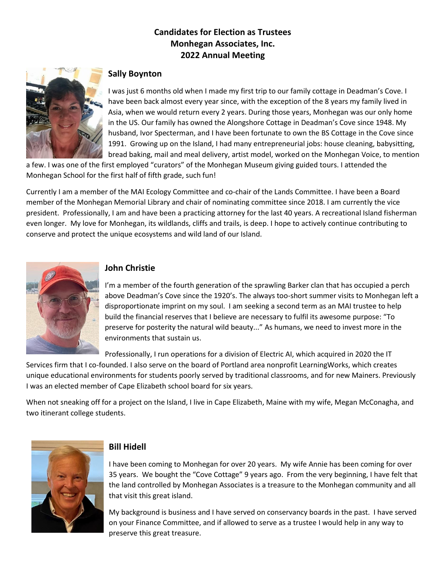# **Candidates for Election as Trustees Monhegan Associates, Inc. 2022 Annual Meeting**



## **Sally Boynton**

I was just 6 months old when I made my first trip to our family cottage in Deadman's Cove. I have been back almost every year since, with the exception of the 8 years my family lived in Asia, when we would return every 2 years. During those years, Monhegan was our only home in the US. Our family has owned the Alongshore Cottage in Deadman's Cove since 1948. My husband, Ivor Specterman, and I have been fortunate to own the BS Cottage in the Cove since 1991. Growing up on the Island, I had many entrepreneurial jobs: house cleaning, babysitting, bread baking, mail and meal delivery, artist model, worked on the Monhegan Voice, to mention

a few. I was one of the first employed "curators" of the Monhegan Museum giving guided tours. I attended the Monhegan School for the first half of fifth grade, such fun!

Currently I am a member of the MAI Ecology Committee and co-chair of the Lands Committee. I have been a Board member of the Monhegan Memorial Library and chair of nominating committee since 2018. I am currently the vice president. Professionally, I am and have been a practicing attorney for the last 40 years. A recreational Island fisherman even longer. My love for Monhegan, its wildlands, cliffs and trails, is deep. I hope to actively continue contributing to conserve and protect the unique ecosystems and wild land of our Island.



#### **John Christie**

I'm a member of the fourth generation of the sprawling Barker clan that has occupied a perch above Deadman's Cove since the 1920's. The always too-short summer visits to Monhegan left a disproportionate imprint on my soul. I am seeking a second term as an MAI trustee to help build the financial reserves that I believe are necessary to fulfil its awesome purpose: "To preserve for posterity the natural wild beauty..." As humans, we need to invest more in the environments that sustain us.

Professionally, I run operations for a division of Electric AI, which acquired in 2020 the IT

Services firm that I co-founded. I also serve on the board of Portland area nonprofit LearningWorks, which creates unique educational environments for students poorly served by traditional classrooms, and for new Mainers. Previously I was an elected member of Cape Elizabeth school board for six years.

When not sneaking off for a project on the Island, I live in Cape Elizabeth, Maine with my wife, Megan McConagha, and two itinerant college students.



### **Bill Hidell**

I have been coming to Monhegan for over 20 years. My wife Annie has been coming for over 35 years. We bought the "Cove Cottage" 9 years ago. From the very beginning, I have felt that the land controlled by Monhegan Associates is a treasure to the Monhegan community and all that visit this great island.

My background is business and I have served on conservancy boards in the past. I have served on your Finance Committee, and if allowed to serve as a trustee I would help in any way to preserve this great treasure.